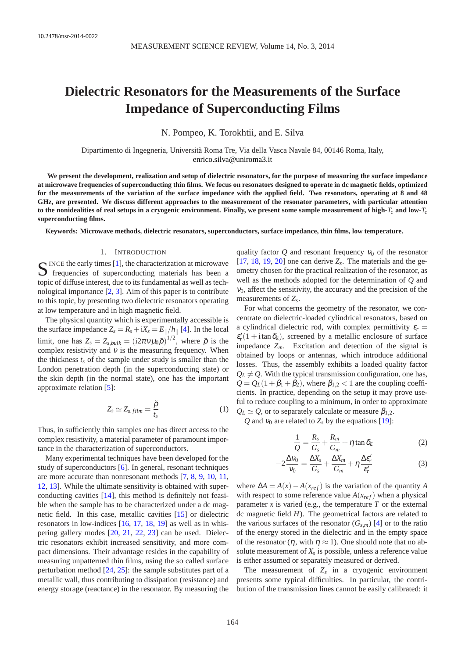# **Dielectric Resonators for the Measurements of the Surface Impedance of Superconducting Films**

N. Pompeo, K. Torokhtii, and E. Silva

Dipartimento di Ingegneria, Università Roma Tre, Via della Vasca Navale 84, 00146 Roma, Italy, [enrico.silva@uniroma3.it](mailto:enrico.silva@uniroma3.it)

**We present the development, realization and setup of dielectric resonators, for the purpose of measuring the surface impedance at microwave frequencies of superconducting thin films. We focus on resonators designed to operate in dc magnetic fields, optimized for the measurements of the variation of the surface impedance with the applied field. Two resonators, operating at 8 and 48 GHz, are presented. We discuss different approaches to the measurement of the resonator parameters, with particular attention to the nonidealities of real setups in a cryogenic environment. Finally, we present some sample measurement of high-***Tc* **and low-***Tc* **superconducting films.**

**Keywords: Microwave methods, dielectric resonators, superconductors, surface impedance, thin films, low temperature.**

# 1. INTRODUCTION

S INCE the early times [\[1\]](#page-5-0), the characterization at microwave frequencies of superconducting materials has been a  $\sum$  frequencies of superconducting materials has been a topic of diffuse interest, due to its fundamental as well as technological importance [\[2,](#page-5-1) [3\]](#page-5-2). Aim of this paper is to contribute to this topic, by presenting two dielectric resonators operating at low temperature and in high magnetic field.

The physical quantity which is experimentally accessible is the surface impedance  $Z_s = R_s + iX_s = E_{\parallel}/h_{\parallel}$  [\[4\]](#page-5-3). In the local limit, one has  $Z_s = Z_{s,bulk} = (i2\pi v \mu_0 \tilde{\rho})^{1/2}$ , where  $\tilde{\rho}$  is the complex resistivity and  $v$  is the measuring frequency. When the thickness  $t_s$  of the sample under study is smaller than the London penetration depth (in the superconducting state) or the skin depth (in the normal state), one has the important approximate relation [\[5\]](#page-5-4):

<span id="page-0-1"></span>
$$
Z_s \simeq Z_{s, film} = \frac{\tilde{\rho}}{t_s} \tag{1}
$$

Thus, in sufficiently thin samples one has direct access to the complex resistivity, a material parameter of paramount importance in the characterization of superconductors.

Many experimental techniques have been developed for the study of superconductors [\[6\]](#page-5-5). In general, resonant techniques are more accurate than nonresonant methods [\[7,](#page-5-6) [8,](#page-5-7) [9,](#page-5-8) [10,](#page-5-9) [11,](#page-5-10) [12,](#page-5-11) [13\]](#page-5-12). While the ultimate sensitivity is obtained with superconducting cavities [\[14\]](#page-5-13), this method is definitely not feasible when the sample has to be characterized under a dc magnetic field. In this case, metallic cavities [\[15\]](#page-5-14) or dielectric resonators in low-indices [\[16,](#page-5-15) [17,](#page-5-16) [18,](#page-5-17) [19\]](#page-5-18) as well as in whispering gallery modes [\[20,](#page-5-19) [21,](#page-5-20) [22,](#page-5-21) [23\]](#page-5-22) can be used. Dielectric resonators exhibit increased sensitivity, and more compact dimensions. Their advantage resides in the capability of measuring unpatterned thin films, using the so called surface perturbation method [\[24,](#page-5-23) [25\]](#page-5-24): the sample substitutes part of a metallic wall, thus contributing to dissipation (resistance) and energy storage (reactance) in the resonator. By measuring the quality factor  $Q$  and resonant frequency  $v_0$  of the resonator  $[17, 18, 19, 20]$  $[17, 18, 19, 20]$  $[17, 18, 19, 20]$  $[17, 18, 19, 20]$  $[17, 18, 19, 20]$  $[17, 18, 19, 20]$  $[17, 18, 19, 20]$  one can derive  $Z_s$ . The materials and the geometry chosen for the practical realization of the resonator, as well as the methods adopted for the determination of *Q* and  $v<sub>0</sub>$ , affect the sensitivity, the accuracy and the precision of the measurements of *Z<sup>s</sup>* .

For what concerns the geometry of the resonator, we concentrate on dielectric-loaded cylindrical resonators, based on a cylindrical dielectric rod, with complex permittivity  $\varepsilon_r =$  $\varepsilon'_r(1 + i \tan \delta_\varepsilon)$ , screened by a metallic enclosure of surface impedance  $Z_m$ . Excitation and detection of the signal is obtained by loops or antennas, which introduce additional losses. Thus, the assembly exhibits a loaded quality factor  $Q_L \neq Q$ . With the typical transmission configuration, one has,  $Q = Q_L(1+\beta_1+\beta_2)$ , where  $\beta_1 \geq 1$  are the coupling coefficients. In practice, depending on the setup it may prove useful to reduce coupling to a minimum, in order to approximate  $Q_L \simeq Q$ , or to separately calculate or measure  $\beta_{1,2}$ .

*Q* and  $v_0$  are related to  $Z_s$  by the equations [\[19\]](#page-5-18):

<span id="page-0-0"></span>
$$
\frac{1}{Q} = \frac{R_s}{G_s} + \frac{R_m}{G_m} + \eta \tan \delta_{\varepsilon}
$$
 (2)

$$
-2\frac{\Delta V_0}{V_0} = \frac{\Delta X_s}{G_s} + \frac{\Delta X_m}{G_m} + \eta \frac{\Delta \varepsilon'_r}{\varepsilon'_r}
$$
(3)

where  $\Delta A = A(x) - A(x_{ref})$  is the variation of the quantity *A* with respect to some reference value  $A(x_{ref})$  when a physical parameter  $x$  is varied (e.g., the temperature  $T$  or the external dc magnetic field *H*). The geometrical factors are related to the various surfaces of the resonator  $(G_{s,m})$  [\[4\]](#page-5-3) or to the ratio of the energy stored in the dielectric and in the empty space of the resonator  $(\eta, \text{ with } \eta \approx 1)$ . One should note that no absolute measurement of *X<sup>s</sup>* is possible, unless a reference value is either assumed or separately measured or derived.

The measurement of  $Z_s$  in a cryogenic environment presents some typical difficulties. In particular, the contribution of the transmission lines cannot be easily calibrated: it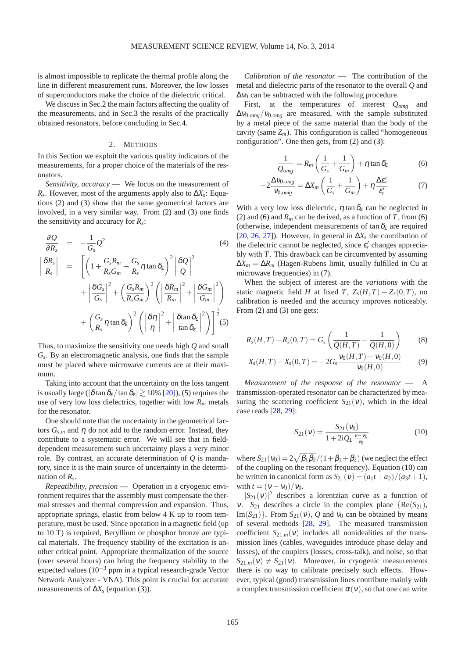is almost impossible to replicate the thermal profile along the line in different measurement runs. Moreover, the low losses of superconductors make the choice of the dielectric critical.

We discuss in Sec[.2](#page-1-0) the main factors affecting the quality of the measurements, and in Sec[.3](#page-2-0) the results of the practically obtained resonators, before concluding in Sec[.4.](#page-4-0)

## 2. METHODS

<span id="page-1-0"></span>In this Section we exploit the various quality indicators of the measurements, for a proper choice of the materials of the resonators.

*Sensitivity, accuracy* — We focus on the measurement of *Rs* . However, most of the arguments apply also to ∆*X<sup>s</sup>* : Equations [\(2\)](#page-0-0) and [\(3\)](#page-0-0) show that the same geometrical factors are involved, in a very similar way. From [\(2\)](#page-0-0) and [\(3\)](#page-0-0) one finds the sensitivity and accuracy for *R<sup>s</sup>* :

<span id="page-1-1"></span>
$$
\frac{\partial Q}{\partial R_s} = -\frac{1}{G_s} Q^2 \qquad (4)
$$
\n
$$
\left| \frac{\delta R_s}{R_s} \right| = \left[ \left( 1 + \frac{G_s R_m}{R_s G_m} + \frac{G_s}{R_s} \eta \tan \delta_{\varepsilon} \right)^2 \left| \frac{\delta Q}{Q} \right|^2 + \left| \frac{\delta G_s}{G_s} \right|^2 + \left( \frac{G_s R_m}{R_s G_m} \right)^2 \left( \left| \frac{\delta R_m}{R_m} \right|^2 + \left| \frac{\delta G_m}{G_m} \right|^2 \right) + \left( \frac{G_s}{R_s} \eta \tan \delta_{\varepsilon} \right)^2 \left( \left| \frac{\delta \eta}{\eta} \right|^2 + \left| \frac{\delta \tan \delta_{\varepsilon}}{\tan \delta_{\varepsilon}} \right|^2 \right) \right]^{\frac{1}{2}} (5)
$$

Thus, to maximize the sensitivity one needs high *Q* and small *Gs* . By an electromagnetic analysis, one finds that the sample must be placed where microwave currents are at their maximum.

Taking into account that the uncertainty on the loss tangent is usually large ( $|\delta \tan \delta_{\epsilon}| \tan \delta_{\epsilon} | \gtrsim 10\%$  [\[20\]](#page-5-19)), [\(5\)](#page-1-1) requires the use of very low loss dielectrics, together with low *R<sup>m</sup>* metals for the resonator.

One should note that the uncertainty in the geometrical factors  $G_{s,m}$  and  $\eta$  do not add to the random error. Instead, they contribute to a systematic error. We will see that in fielddependent measurement such uncertainty plays a very minor role. By contrast, an accurate determination of *Q* is mandatory, since it is the main source of uncertainty in the determination of *R<sup>s</sup>* .

*Repeatibility, precision* — Operation in a cryogenic environment requires that the assembly must compensate the thermal stresses and thermal compression and expansion. Thus, appropriate springs, elastic from below 4 K up to room temperature, must be used. Since operation in a magnetic field (up to 10 T) is required, Beryllium or phosphor bronze are typical materials. The frequency stability of the excitation is another critical point. Appropriate thermalization of the source (over several hours) can bring the frequency stability to the expected values (10−<sup>3</sup> ppm in a typical research-grade Vector Network Analyzer - VNA). This point is crucial for accurate measurements of  $\Delta X_s$  (equation [\(3\)](#page-0-0)).

*Calibration of the resonator* — The contribution of the metal and dielectric parts of the resonator to the overall *Q* and  $\Delta v_0$  can be subtracted with the following procedure.

First, at the temperatures of interest *Qomg* and  $\Delta v_{0,omg}/v_{0,omg}$  are measured, with the sample substituted by a metal piece of the same material than the body of the cavity (same *Zm*). This configuration is called "homogeneous configuration". One then gets, from [\(2\)](#page-0-0) and [\(3\)](#page-0-0):

<span id="page-1-2"></span>
$$
\frac{1}{Q_{omg}} = R_m \left( \frac{1}{G_s} + \frac{1}{G_m} \right) + \eta \tan \delta_{\varepsilon}
$$
 (6)

$$
-2\frac{\Delta V_{0,omg}}{V_{0,omg}} = \Delta X_m \left(\frac{1}{G_s} + \frac{1}{G_m}\right) + \eta \frac{\Delta \varepsilon'_r}{\varepsilon'_r} \tag{7}
$$

With a very low loss dielectric,  $\eta \tan \delta_{\varepsilon}$  can be neglected in [\(2\)](#page-0-0) and [\(6\)](#page-1-2) and  $R_m$  can be derived, as a function of  $T$ , from [\(6\)](#page-1-2) (otherwise, independent measurements of tan $\delta_{\varepsilon}$  are required [\[20,](#page-5-19) [26,](#page-6-0) [27\]](#page-6-1)). However, in general in  $\Delta X_s$  the contribution of the dielectric cannot be neglected, since  $\varepsilon'_{r}$  changes appreciably with *T*. This drawback can be circumvented by assuming  $\Delta X_m = \Delta R_m$  (Hagen-Rubens limit, usually fulfilled in Cu at microwave frequencies) in [\(7\)](#page-1-2).

When the subject of interest are the *variations* with the static magnetic field *H* at fixed *T*,  $Z_s(H,T) - Z_s(0,T)$ , no calibration is needed and the accuracy improves noticeably. From  $(2)$  and  $(3)$  one gets:

<span id="page-1-4"></span>
$$
R_s(H,T) - R_s(0,T) = G_s\left(\frac{1}{Q(H,T)} - \frac{1}{Q(H,0)}\right) \tag{8}
$$

$$
X_s(H,T) - X_s(0,T) = -2G_s \frac{v_0(H,T) - v_0(H,0)}{v_0(H,0)}
$$
(9)

*Measurement of the response of the resonator* — A transmission-operated resonator can be characterized by measuring the scattering coefficient  $S_{21}(v)$ , which in the ideal case reads [\[28,](#page-6-2) [29\]](#page-6-3):

<span id="page-1-3"></span>
$$
S_{21}(v) = \frac{S_{21}(v_0)}{1 + 2iQ_L \frac{v - v_0}{v_0}}
$$
(10)

where  $S_{21}(v_0) = 2\sqrt{\beta_1\beta_2}/(1+\beta_1+\beta_2)$  (we neglect the effect of the coupling on the resonant frequency). Equation [\(10\)](#page-1-3) can be written in canonical form as  $S_{21}(v) = \frac{a_1t + a_2}{a_3t + 1}$ , with  $t = (v - v_0)/v_0$ .

 $|S_{21}(v)|^2$  describes a lorentzian curve as a function of *v*.  $S_{21}$  describes a circle in the complex plane { $Re(S_{21})$ ,  $Im(S_{21})\}$ . From  $S_{21}(v)$ , *Q* and  $v_0$  can be obtained by means of several methods [\[28,](#page-6-2) [29\]](#page-6-3). The measured transmission coefficient  $S_{21,m}(v)$  includes all nonidealities of the transmission lines (cables, waveguides introduce phase delay and losses), of the couplers (losses, cross-talk), and noise, so that  $S_{21,m}(v) \neq S_{21}(v)$ . Moreover, in cryogenic measurements there is no way to calibrate precisely such effects. However, typical (good) transmission lines contribute mainly with a complex transmission coefficient  $\alpha(v)$ , so that one can write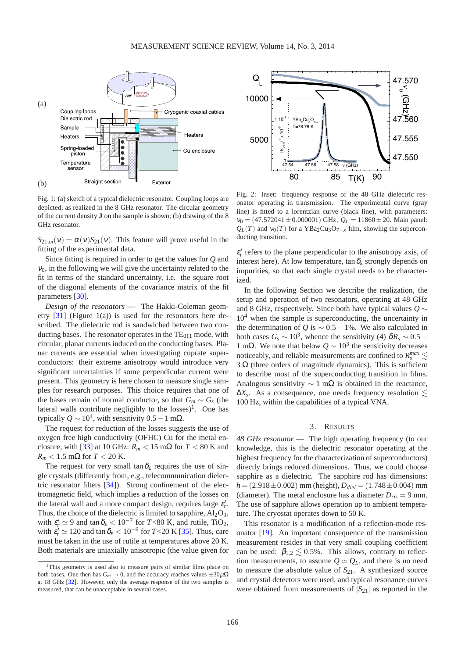<span id="page-2-1"></span>

Fig. 1: (a) sketch of a typical dielectric resonator. Coupling loops are depicted, as realized in the 8 GHz resonator. The circular geometry of the current density **J** on the sample is shown; (b) drawing of the 8 GHz resonator.

 $S_{21,m}(v) = \alpha(v)S_{21}(v)$ . This feature will prove useful in the fitting of the experimental data.

Since fitting is required in order to get the values for *Q* and  $v_0$ , in the following we will give the uncertainty related to the fit in terms of the standard uncertainty, i.e. the square root of the diagonal elements of the covariance matrix of the fit parameters [\[30\]](#page-6-4).

*Design of the resonators* — The Hakki-Coleman geometry  $\lceil 31 \rceil$  (Figure [1\(](#page-2-1)a)) is used for the resonators here described. The dielectric rod is sandwiched between two conducting bases. The resonator operates in the  $TE<sub>011</sub>$  mode, with circular, planar currents induced on the conducting bases. Planar currents are essential when investigating cuprate superconductors: their extreme anisotropy would introduce very significant uncertainties if some perpendicular current were present. This geometry is here chosen to measure single samples for research purposes. This choice requires that one of the bases remain of normal conductor, so that  $G_m \sim G_s$  (the lateral walls contribute negligibly to the losses)<sup>[1](#page-2-2)</sup>. One has typically  $Q \sim 10^4$ , with sensitivity  $0.5 - 1$  m $\Omega$ .

The request for reduction of the losses suggests the use of oxygen free high conductivity (OFHC) Cu for the metal en-closure, with [\[33\]](#page-6-6) at 10 GHz:  $R_m < 15$  m $\Omega$  for  $T < 80$  K and  $R_m$  < 1.5 mΩ for *T* < 20 K.

The request for very small tan $\delta_{\varepsilon}$  requires the use of single crystals (differently from, e.g., telecommunication dielectric resonator filters [\[34\]](#page-6-7)). Strong confinement of the electromagnetic field, which implies a reduction of the losses on the lateral wall and a more compact design, requires large  $\varepsilon'_r$ . Thus, the choice of the dielectric is limited to sapphire,  $Al_2O_3$ , with  $\varepsilon'_r \simeq 9$  and  $\tan \delta_\varepsilon < 10^{-7}$  for *T*<80 K, and rutile, TiO<sub>2</sub>, with  $\varepsilon'_r \simeq 120$  and tan  $\delta_{\varepsilon} < 10^{-6}$  for *T*<20 K [\[35\]](#page-6-8). Thus, care must be taken in the use of rutile at temperatures above 20 K. Both materials are uniaxially anisotropic (the value given for

<span id="page-2-3"></span>

Fig. 2: Inset: frequency response of the 48 GHz dielectric resonator operating in transmission. The experimental curve (gray line) is fitted to a lorentzian curve (black line), with parameters:  $v_0 = (47.572041 \pm 0.000001)$  GHz,  $Q_L = 11860 \pm 20$ . Main panel:  $Q_L(T)$  and  $V_0(T)$  for a YBa<sub>2</sub>Cu<sub>3</sub>O<sub>7−*x*</sub> film, showing the superconducting transition.

 $\varepsilon'_{r}$  refers to the plane perpendicular to the anisotropy axis, of interest here). At low temperature,  $\tan \delta_{\varepsilon}$  strongly depends on impurities, so that each single crystal needs to be characterized.

In the following Section we describe the realization, the setup and operation of two resonators, operating at 48 GHz and 8 GHz, respectively. Since both have typical values *Q* ∼  $10<sup>4</sup>$  when the sample is superconducting, the uncertainty in the determination of  $Q$  is  $\sim 0.5 - 1\%$ . We also calculated in both cases  $G_s \sim 10^3$ , whence the sensitivity [\(4\)](#page-1-1)  $\delta R_s \sim 0.5 - 10^3$ 1 mΩ. We note that below  $Q \sim 10^3$  the sensitivity decreases noticeably, and reliable measurements are confined to  $R_s^{max} \lesssim$ 3  $\Omega$  (three orders of magnitude dynamics). This is sufficient to describe most of the superconducting transition in films. Analogous sensitivity  $\sim 1$  mΩ is obtained in the reactance,  $\Delta X_s$ . As a consequence, one needs frequency resolution  $\lesssim$ 100 Hz, within the capabilities of a typical VNA.

## 3. RESULTS

<span id="page-2-0"></span>*48 GHz resonator* — The high operating frequency (to our knowledge, this is the dielectric resonator operating at the highest frequency for the characterization of superconductors) directly brings reduced dimensions. Thus, we could choose sapphire as a dielectric. The sapphire rod has dimensions:  $h = (2.918 \pm 0.002)$  mm (height),  $D_{diel} = (1.748 \pm 0.004)$  mm (diameter). The metal enclosure has a diameter  $D_{ris} = 9$  mm. The use of sapphire allows operation up to ambient temperature. The cryostat operates down to 50 K.

This resonator is a modification of a reflection-mode resonator [\[19\]](#page-5-18). An important consequence of the transmission measurement resides in that very small coupling coefficient can be used:  $\beta_{1,2} \leq 0.5\%$ . This allows, contrary to reflection measurements, to assume  $Q \simeq Q_L$ , and there is no need to measure the absolute value of  $S_{21}$ . A synthesized source and crystal detectors were used, and typical resonance curves were obtained from measurements of  $|S_{21}|$  as reported in the

<span id="page-2-2"></span><sup>&</sup>lt;sup>1</sup>This geometry is used also to measure pairs of similar films place on both bases. One then has  $G_m \to 0$ , and the accuracy reaches values  $\pm 30\mu\Omega$ at 18 GHz [\[32\]](#page-6-9). However, only the average response of the two samples is measured, that can be unacceptable in several cases.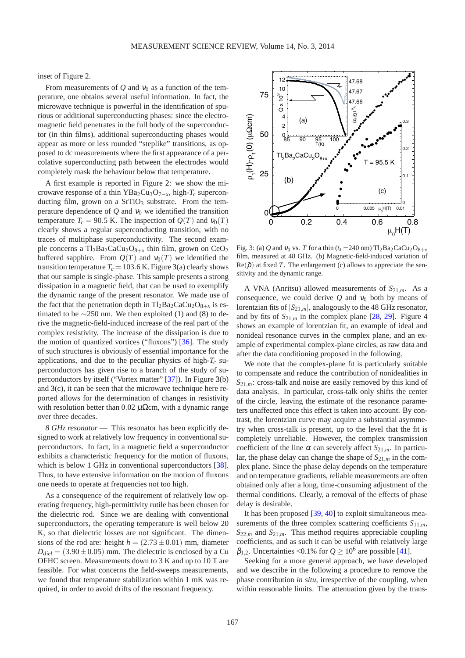inset of Figure [2.](#page-2-3)

From measurements of  $Q$  and  $v_0$  as a function of the temperature, one obtains several useful information. In fact, the microwave technique is powerful in the identification of spurious or additional superconducting phases: since the electromagnetic field penetrates in the full body of the superconductor (in thin films), additional superconducting phases would appear as more or less rounded "steplike" transitions, as opposed to dc measurements where the first appearance of a percolative superconducting path between the electrodes would completely mask the behaviour below that temperature.

A first example is reported in Figure [2:](#page-2-3) we show the microwave response of a thin YBa2Cu3O7−*x*, high-*T<sup>c</sup>* superconducting film, grown on a  $SrTiO<sub>3</sub>$  substrate. From the temperature dependence of  $Q$  and  $v_0$  we identified the transition temperature  $T_c = 90.5$  K. The inspection of  $Q(T)$  and  $v_0(T)$ clearly shows a regular superconducting transition, with no traces of multiphase superconductivity. The second example concerns a  $Tl_2Ba_2CaCu_2O_{8+x}$  thin film, grown on  $CeO_2$ buffered sapphire. From  $Q(T)$  and  $v_0(T)$  we identified the transition temperature  $T_c = 103.6$  K. Figure [3\(](#page-3-0)a) clearly shows that our sample is single-phase. This sample presents a strong dissipation in a magnetic field, that can be used to exemplify the dynamic range of the present resonator. We made use of the fact that the penetration depth in  $T_2Ba_2CaCu_2O_{8+r}$  is estimated to be  $\sim$ 250 nm. We then exploited [\(1\)](#page-0-1) and [\(8\)](#page-1-4) to derive the magnetic-field-induced increase of the real part of the complex resistivity. The increase of the dissipation is due to the motion of quantized vortices ("fluxons") [\[36\]](#page-6-10). The study of such structures is obviously of essential importance for the applications, and due to the peculiar physics of high-*T<sup>c</sup>* superconductors has given rise to a branch of the study of superconductors by itself ("Vortex matter" [\[37\]](#page-6-11)). In Figure [3\(](#page-3-0)b) and [3\(](#page-3-0)c), it can be seen that the microwave technique here reported allows for the determination of changes in resistivity with resolution better than 0.02  $\mu\Omega$ cm, with a dynamic range over three decades.

*8 GHz resonator* — This resonator has been explicitly designed to work at relatively low frequency in conventional superconductors. In fact, in a magnetic field a superconductor exhibits a characteristic frequency for the motion of fluxons, which is below 1 GHz in conventional superconductors [\[38\]](#page-6-12). Thus, to have extensive information on the motion of fluxons one needs to operate at frequencies not too high.

As a consequence of the requirement of relatively low operating frequency, high-permittivity rutile has been chosen for the dielectric rod. Since we are dealing with conventional superconductors, the operating temperature is well below 20 K, so that dielectric losses are not significant. The dimensions of the rod are: height  $h = (2.73 \pm 0.01)$  mm, diameter  $D_{diel} = (3.90 \pm 0.05)$  mm. The dielectric is enclosed by a Cu OFHC screen. Measurements down to 3 K and up to 10 T are feasible. For what concerns the field-sweeps measurements, we found that temperature stabilization within 1 mK was required, in order to avoid drifts of the resonant frequency.

<span id="page-3-0"></span>

Fig. 3: (a) *Q* and  $v_0$  vs. *T* for a thin ( $t_s = 240$  nm)  $\text{Ti}_2\text{Ba}_2\text{CaCu}_2\text{O}_{8+r}$ film, measured at 48 GHz. (b) Magnetic-field-induced variation of  $\text{Re}(\tilde{\rho})$  at fixed *T*. The enlargement (c) allows to appreciate the sensitivity and the dynamic range.

A VNA (Anritsu) allowed measurements of  $S_{21,m}$ . As a consequence, we could derive  $Q$  and  $v_0$  both by means of lorentzian fits of  $|S_{21,m}|$ , analogously to the 48 GHz resonator, and by fits of  $S_{21,m}$  in the complex plane [\[28,](#page-6-2) [29\]](#page-6-3). Figure [4](#page-4-1) shows an example of lorentzian fit, an example of ideal and nonideal resonance curves in the complex plane, and an example of experimental complex-plane circles, as raw data and after the data conditioning proposed in the following.

We note that the complex-plane fit is particularly suitable to compensate and reduce the contribution of nonidealities in  $S_{21,m}$ : cross-talk and noise are easily removed by this kind of data analysis. In particular, cross-talk only shifts the center of the circle, leaving the estimate of the resonance parameters unaffected once this effect is taken into account. By contrast, the lorentzian curve may acquire a substantial asymmetry when cross-talk is present, up to the level that the fit is completely unreliable. However, the complex transmission coefficient of the line  $\alpha$  can severely affect  $S_{21,m}$ . In particular, the phase delay can change the shape of  $S_{21,m}$  in the complex plane. Since the phase delay depends on the temperature and on temperature gradients, reliable measurements are often obtained only after a long, time-consuming adjustment of the thermal conditions. Clearly, a removal of the effects of phase delay is desirable.

It has been proposed [\[39,](#page-6-13) [40\]](#page-6-14) to exploit simultaneous measurements of the three complex scattering coefficients  $S_{11,m}$ ,  $S_{22,m}$  and  $S_{21,m}$ . This method requires appreciable coupling coefficients, and as such it can be useful with relatively large  $\beta_{1,2}$ . Uncertainties <0.1% for  $Q \ge 10^6$  are possible [\[41\]](#page-6-15).

Seeking for a more general approach, we have developed and we describe in the following a procedure to remove the phase contribution *in situ*, irrespective of the coupling, when within reasonable limits. The attenuation given by the trans-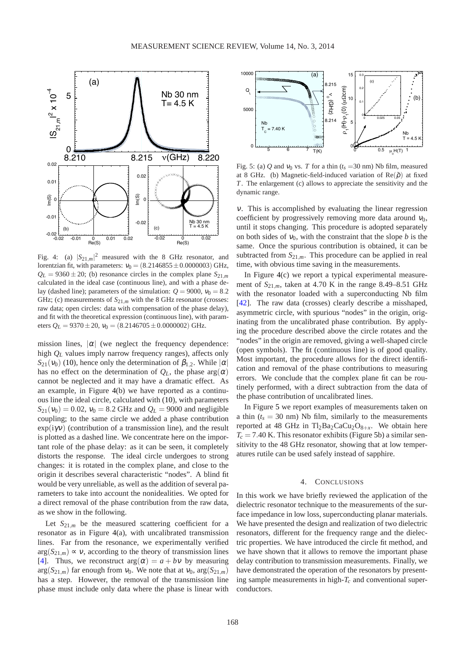<span id="page-4-1"></span>

Fig. 4: (a)  $|S_{21,m}|^2$  measured with the 8 GHz resonator, and lorentzian fit, with parameters:  $v_0 = (8.2146855 \pm 0.0000003)$  GHz,  $Q_L$  = 9360 ± 20; (b) resonance circles in the complex plane  $S_{21,m}$ calculated in the ideal case (continuous line), and with a phase delay (dashed line); parameters of the simulation:  $Q = 9000$ ,  $v_0 = 8.2$ GHz; (c) measurements of  $S_{21,m}$  with the 8 GHz resonator (crosses: raw data; open circles: data with compensation of the phase delay), and fit with the theoretical expression (continuous line), with parameters  $Q_L = 9370 \pm 20$ ,  $v_0 = (8.2146705 \pm 0.0000002)$  GHz.

mission lines,  $|\alpha|$  (we neglect the frequency dependence: high *Q<sup>L</sup>* values imply narrow frequency ranges), affects only  $S_{21}(v_0)$  [\(10\)](#page-1-3), hence only the determination of  $\beta_{1,2}$ . While  $|\alpha|$ has no effect on the determination of  $Q_L$ , the phase  $arg(\alpha)$ cannot be neglected and it may have a dramatic effect. As an example, in Figure [4\(](#page-4-1)b) we have reported as a continuous line the ideal circle, calculated with [\(10\)](#page-1-3), with parameters  $S_{21}(v_0) = 0.02$ ,  $v_0 = 8.2$  GHz and  $Q_L = 9000$  and negligible coupling; to the same circle we added a phase contribution  $\exp(i\gamma v)$  (contribution of a transmission line), and the result is plotted as a dashed line. We concentrate here on the important role of the phase delay: as it can be seen, it completely distorts the response. The ideal circle undergoes to strong changes: it is rotated in the complex plane, and close to the origin it describes several characteristic "nodes". A blind fit would be very unreliable, as well as the addition of several parameters to take into account the nonidealities. We opted for a direct removal of the phase contribution from the raw data, as we show in the following.

Let  $S_{21,m}$  be the measured scattering coefficient for a resonator as in Figure [4\(](#page-4-1)a), with uncalibrated transmission lines. Far from the resonance, we experimentally verified  $arg(S_{21,m}) \propto v$ , according to the theory of transmission lines [\[4\]](#page-5-3). Thus, we reconstruct  $arg(\alpha) = a + bv$  by measuring  $arg(S_{21,m})$  far enough from  $v_0$ . We note that at  $v_0$ ,  $arg(S_{21,m})$ has a step. However, the removal of the transmission line phase must include only data where the phase is linear with

<span id="page-4-2"></span>

Fig. 5: (a) *Q* and  $v_0$  vs. *T* for a thin ( $t_s$  =30 nm) Nb film, measured at 8 GHz. (b) Magnetic-field-induced variation of  $\text{Re}(\tilde{\rho})$  at fixed *T*. The enlargement (c) allows to appreciate the sensitivity and the dynamic range.

<sup>ν</sup>. This is accomplished by evaluating the linear regression coefficient by progressively removing more data around  $v_0$ , until it stops changing. This procedure is adopted separately on both sides of  $v_0$ , with the constraint that the slope *b* is the same. Once the spurious contribution is obtained, it can be subtracted from  $S_{21,m}$ . This procedure can be applied in real time, with obvious time saving in the measurements.

In Figure [4\(](#page-4-1)c) we report a typical experimental measurement of  $S_{21,m}$ , taken at 4.70 K in the range 8.49–8.51 GHz with the resonator loaded with a superconducting Nb film [\[42\]](#page-6-16). The raw data (crosses) clearly describe a misshaped, asymmetric circle, with spurious "nodes" in the origin, originating from the uncalibrated phase contribution. By applying the procedure described above the circle rotates and the "nodes" in the origin are removed, giving a well-shaped circle (open symbols). The fit (continuous line) is of good quality. Most important, the procedure allows for the direct identification and removal of the phase contributions to measuring errors. We conclude that the complex plane fit can be routinely performed, with a direct subtraction from the data of the phase contribution of uncalibrated lines.

In Figure [5](#page-4-2) we report examples of measurements taken on a thin  $(t_s = 30 \text{ nm})$  Nb film, similarly to the measurements reported at 48 GHz in  $Tl_2Ba_2CaCu_2O_{8+x}$ . We obtain here  $T_c = 7.40$  K. This resonator exhibits (Figure [5b](#page-4-2)) a similar sensitivity to the 48 GHz resonator, showing that at low temperatures rutile can be used safely instead of sapphire.

#### 4. CONCLUSIONS

<span id="page-4-0"></span>In this work we have briefly reviewed the application of the dielectric resonator technique to the measurements of the surface impedance in low loss, superconducting planar materials. We have presented the design and realization of two dielectric resonators, different for the frequency range and the dielectric properties. We have introduced the circle fit method, and we have shown that it allows to remove the important phase delay contribution to transmission measurements. Finally, we have demonstrated the operation of the resonators by presenting sample measurements in high-*T<sup>c</sup>* and conventional superconductors.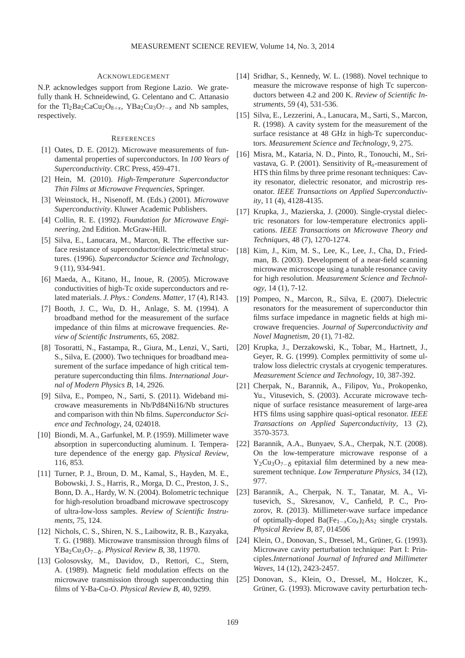#### ACKNOWLEDGEMENT

N.P. acknowledges support from Regione Lazio. We gratefully thank H. Schneidewind, G. Celentano and C. Attanasio for the Tl2Ba2CaCu2O8+*x*, YBa2Cu3O7−*<sup>x</sup>* and Nb samples, respectively.

#### **REFERENCES**

- <span id="page-5-0"></span>[1] Oates, D. E. (2012). Microwave measurements of fundamental properties of superconductors. In *100 Years of Superconductivity*. CRC Press, 459-471.
- <span id="page-5-1"></span>[2] Hein, M. (2010). *High-Temperature Superconductor Thin Films at Microwave Frequencies*, Springer.
- <span id="page-5-2"></span>[3] Weinstock, H., Nisenoff, M. (Eds.) (2001). *Microwave Superconductivity*. Kluwer Academic Publishers.
- <span id="page-5-3"></span>[4] Collin, R. E. (1992). *Foundation for Microwave Engineering,* 2nd Edition. McGraw-Hill.
- <span id="page-5-4"></span>[5] Silva, E., Lanucara, M., Marcon, R. The effective surface resistance of superconductor/dielectric/metal structures. (1996). *Superconductor Science and Technology*, 9 (11), 934-941.
- <span id="page-5-5"></span>[6] Maeda, A., Kitano, H., Inoue, R. (2005). Microwave conductivities of high-Tc oxide superconductors and related materials. *J. Phys.: Condens. Matter*, 17 (4), R143.
- <span id="page-5-6"></span>[7] Booth, J. C., Wu, D. H., Anlage, S. M. (1994). A broadband method for the measurement of the surface impedance of thin films at microwave frequencies. *Review of Scientific Instruments*, 65, 2082.
- <span id="page-5-7"></span>[8] Tosoratti, N., Fastampa, R., Giura, M., Lenzi, V., Sarti, S., Silva, E. (2000). Two techniques for broadband measurement of the surface impedance of high critical temperature superconducting thin films. *International Journal of Modern Physics B*, 14, 2926.
- <span id="page-5-8"></span>[9] Silva, E., Pompeo, N., Sarti, S. (2011). Wideband microwave measurements in Nb/Pd84Ni16/Nb structures and comparison with thin Nb films. *Superconductor Science and Technology*, 24, 024018.
- <span id="page-5-9"></span>[10] Biondi, M. A., Garfunkel, M. P. (1959). Millimeter wave absorption in superconducting aluminum. I. Temperature dependence of the energy gap. *Physical Review*, 116, 853.
- <span id="page-5-10"></span>[11] Turner, P. J., Broun, D. M., Kamal, S., Hayden, M. E., Bobowski, J. S., Harris, R., Morga, D. C., Preston, J. S., Bonn, D. A., Hardy, W. N. (2004). Bolometric technique for high-resolution broadband microwave spectroscopy of ultra-low-loss samples. *Review of Scientific Instruments*, 75, 124.
- <span id="page-5-11"></span>[12] Nichols, C. S., Shiren, N. S., Laibowitz, R. B., Kazyaka, T. G. (1988). Microwave transmission through films of YBa2Cu3O7−<sup>δ</sup> . *Physical Review B*, 38, 11970.
- <span id="page-5-12"></span>[13] Golosovsky, M., Davidov, D., Rettori, C., Stern, A. (1989). Magnetic field modulation effects on the microwave transmission through superconducting thin films of Y-Ba-Cu-O. *Physical Review B*, 40, 9299.
- <span id="page-5-13"></span>[14] Sridhar, S., Kennedy, W. L. (1988). Novel technique to measure the microwave response of high Tc superconductors between 4.2 and 200 K. *Review of Scientific Instruments*, 59 (4), 531-536.
- <span id="page-5-14"></span>[15] Silva, E., Lezzerini, A., Lanucara, M., Sarti, S., Marcon, R. (1998). A cavity system for the measurement of the surface resistance at 48 GHz in high-Tc superconductors. *Measurement Science and Technology*, 9, 275.
- <span id="page-5-15"></span>[16] Misra, M., Kataria, N. D., Pinto, R., Tonouchi, M., Srivastava, G. P. (2001). Sensitivity of R*s*-measurement of HTS thin films by three prime resonant techniques: Cavity resonator, dielectric resonator, and microstrip resonator. *IEEE Transactions on Applied Superconductivity*, 11 (4), 4128-4135.
- <span id="page-5-16"></span>[17] Krupka, J., Mazierska, J. (2000). Single-crystal dielectric resonators for low-temperature electronics applications. *IEEE Transactions on Microwave Theory and Techniques*, 48 (7), 1270-1274.
- <span id="page-5-17"></span>[18] Kim, J., Kim, M. S., Lee, K., Lee, J., Cha, D., Friedman, B. (2003). Development of a near-field scanning microwave microscope using a tunable resonance cavity for high resolution. *Measurement Science and Technology*, 14 (1), 7-12.
- <span id="page-5-18"></span>[19] Pompeo, N., Marcon, R., Silva, E. (2007). Dielectric resonators for the measurement of superconductor thin films surface impedance in magnetic fields at high microwave frequencies. *Journal of Superconductivity and Novel Magnetism*, 20 (1), 71-82.
- <span id="page-5-19"></span>[20] Krupka, J., Derzakowski, K., Tobar, M., Hartnett, J., Geyer, R. G. (1999). Complex permittivity of some ultralow loss dielectric crystals at cryogenic temperatures. *Measurement Science and Technology*, 10, 387-392.
- <span id="page-5-20"></span>[21] Cherpak, N., Barannik, A., Filipov, Yu., Prokopenko, Yu., Vitusevich, S. (2003). Accurate microwave technique of surface resistance measurement of large-area HTS films using sapphire quasi-optical resonator. *IEEE Transactions on Applied Superconductivity*, 13 (2), 3570-3573.
- <span id="page-5-21"></span>[22] Barannik, A.A., Bunyaev, S.A., Cherpak, N.T. (2008). On the low-temperature microwave response of a  $Y_2Cu_3O_{7-\delta}$  epitaxial film determined by a new measurement technique. *Low Temperature Physics*, 34 (12), 977.
- <span id="page-5-22"></span>[23] Barannik, A., Cherpak, N. T., Tanatar, M. A., Vitusevich, S., Skresanov, V., Canfield, P. C., Prozorov, R. (2013). Millimeter-wave surface impedance of optimally-doped Ba(Fe1−*x*Co*x*)2As<sup>2</sup> single crystals. *Physical Review B*, 87, 014506
- <span id="page-5-23"></span>[24] Klein, O., Donovan, S., Dressel, M., Grüner, G. (1993). Microwave cavity perturbation technique: Part I: Principles.*International Journal of Infrared and Millimeter Waves*, 14 (12), 2423-2457.
- <span id="page-5-24"></span>[25] Donovan, S., Klein, O., Dressel, M., Holczer, K., Grüner, G. (1993). Microwave cavity perturbation tech-